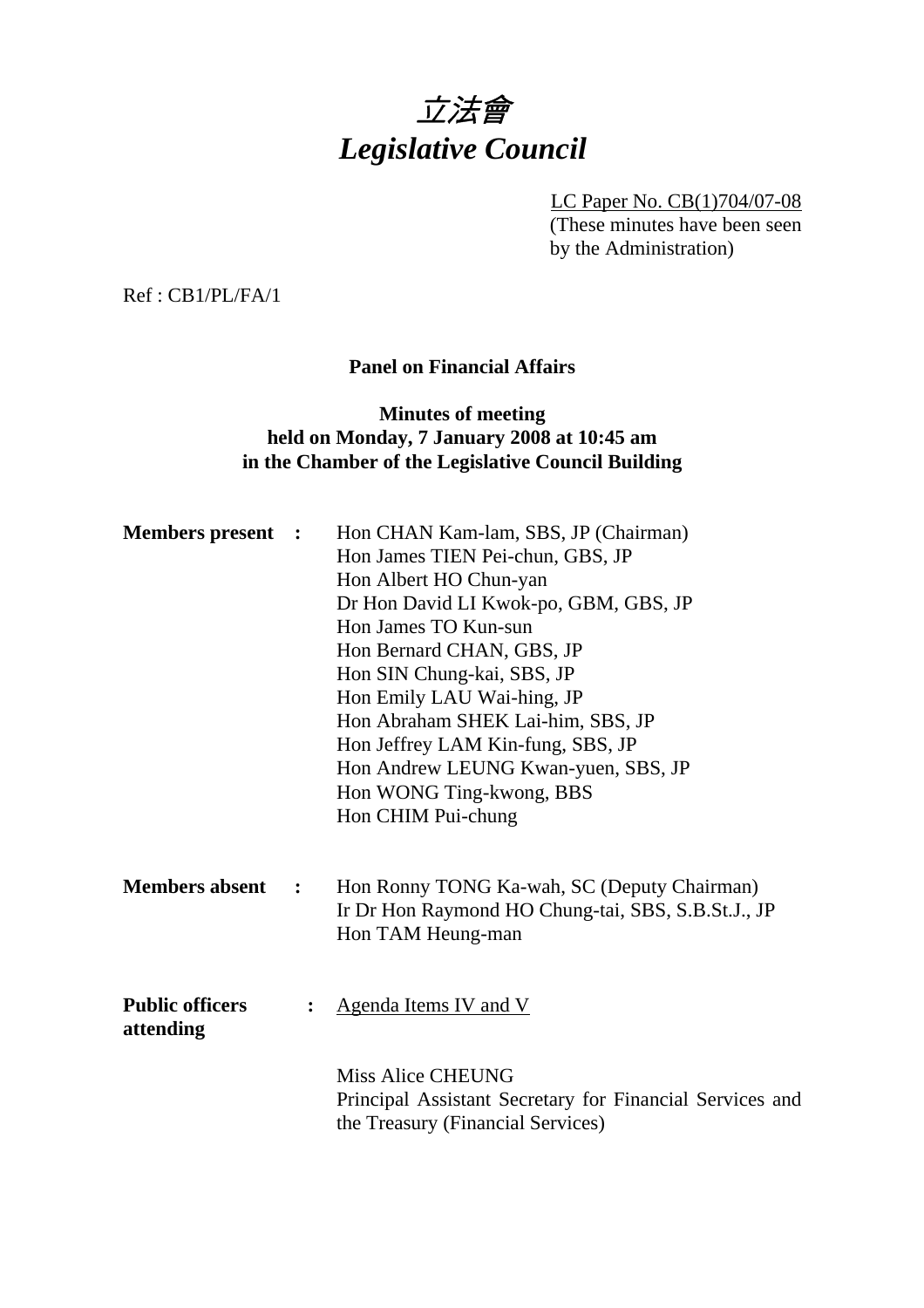# 立法會 *Legislative Council*

LC Paper No. CB(1)704/07-08 (These minutes have been seen by the Administration)

Ref : CB1/PL/FA/1

# **Panel on Financial Affairs**

# **Minutes of meeting held on Monday, 7 January 2008 at 10:45 am in the Chamber of the Legislative Council Building**

| <b>Members present :</b>            |                | Hon CHAN Kam-lam, SBS, JP (Chairman)<br>Hon James TIEN Pei-chun, GBS, JP<br>Hon Albert HO Chun-yan<br>Dr Hon David LI Kwok-po, GBM, GBS, JP<br>Hon James TO Kun-sun<br>Hon Bernard CHAN, GBS, JP<br>Hon SIN Chung-kai, SBS, JP<br>Hon Emily LAU Wai-hing, JP<br>Hon Abraham SHEK Lai-him, SBS, JP<br>Hon Jeffrey LAM Kin-fung, SBS, JP<br>Hon Andrew LEUNG Kwan-yuen, SBS, JP<br>Hon WONG Ting-kwong, BBS<br>Hon CHIM Pui-chung |
|-------------------------------------|----------------|---------------------------------------------------------------------------------------------------------------------------------------------------------------------------------------------------------------------------------------------------------------------------------------------------------------------------------------------------------------------------------------------------------------------------------|
| <b>Members absent</b>               | $\ddot{\cdot}$ | Hon Ronny TONG Ka-wah, SC (Deputy Chairman)<br>Ir Dr Hon Raymond HO Chung-tai, SBS, S.B.St.J., JP<br>Hon TAM Heung-man                                                                                                                                                                                                                                                                                                          |
| <b>Public officers</b><br>attending |                | Agenda Items IV and V                                                                                                                                                                                                                                                                                                                                                                                                           |
|                                     |                | Miss Alice CHEUNG<br>Principal Assistant Secretary for Financial Services and<br>the Treasury (Financial Services)                                                                                                                                                                                                                                                                                                              |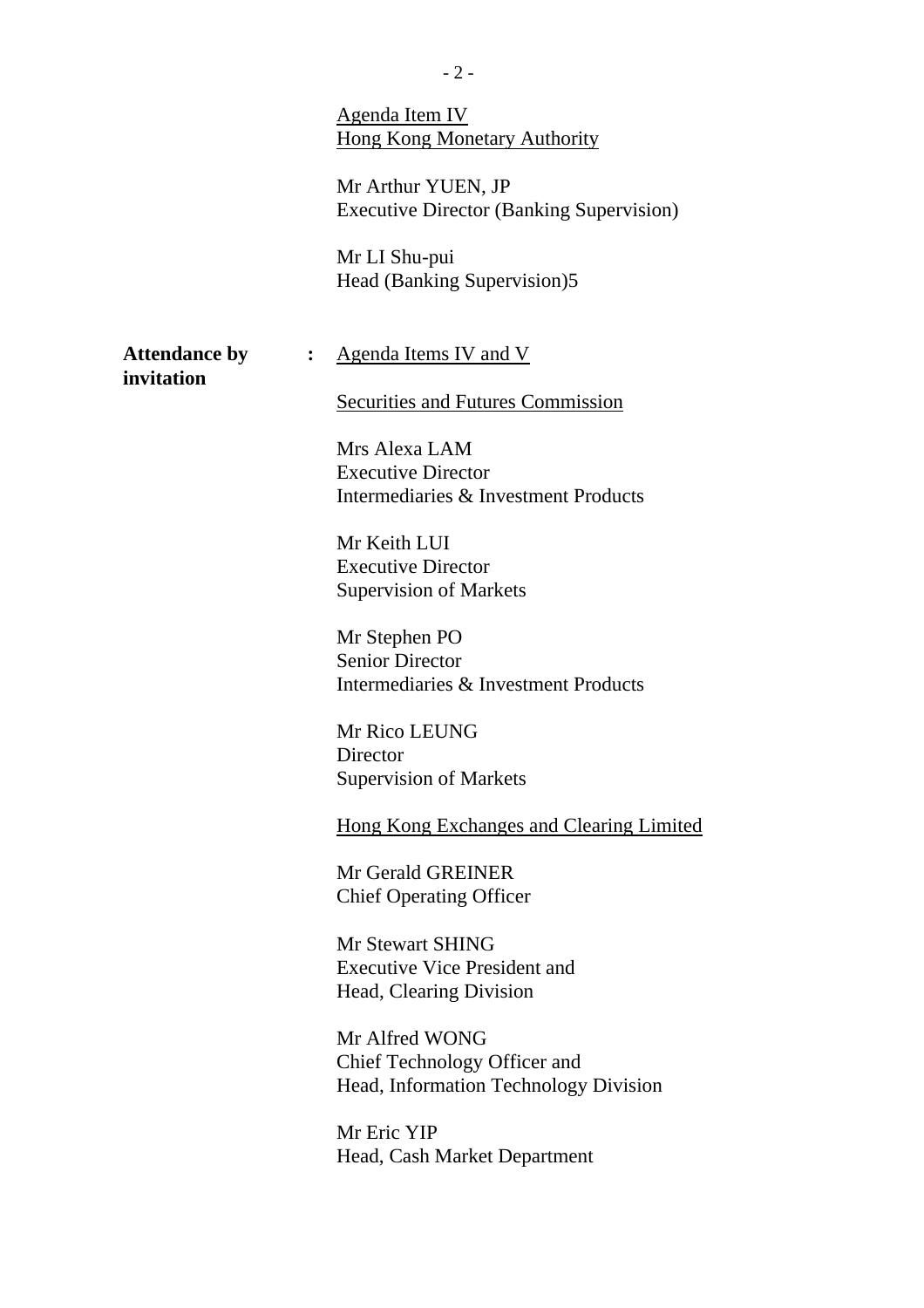|                                    |                  | <b>Agenda Item IV</b><br><b>Hong Kong Monetary Authority</b><br>Mr Arthur YUEN, JP<br><b>Executive Director (Banking Supervision)</b><br>Mr LI Shu-pui<br>Head (Banking Supervision)5                                                                                                                                                                                                                                                                                                                                                                                                                                                                       |
|------------------------------------|------------------|-------------------------------------------------------------------------------------------------------------------------------------------------------------------------------------------------------------------------------------------------------------------------------------------------------------------------------------------------------------------------------------------------------------------------------------------------------------------------------------------------------------------------------------------------------------------------------------------------------------------------------------------------------------|
| <b>Attendance by</b><br>invitation | $\ddot{\bullet}$ | <u>Agenda Items IV and V</u><br>Securities and Futures Commission                                                                                                                                                                                                                                                                                                                                                                                                                                                                                                                                                                                           |
|                                    |                  | Mrs Alexa LAM<br><b>Executive Director</b><br>Intermediaries & Investment Products<br>Mr Keith LUI<br><b>Executive Director</b><br><b>Supervision of Markets</b><br>Mr Stephen PO<br><b>Senior Director</b><br>Intermediaries & Investment Products<br>Mr Rico LEUNG<br>Director<br><b>Supervision of Markets</b><br><b>Hong Kong Exchanges and Clearing Limited</b><br>Mr Gerald GREINER<br><b>Chief Operating Officer</b><br>Mr Stewart SHING<br><b>Executive Vice President and</b><br>Head, Clearing Division<br>Mr Alfred WONG<br>Chief Technology Officer and<br>Head, Information Technology Division<br>Mr Eric YIP<br>Head, Cash Market Department |
|                                    |                  |                                                                                                                                                                                                                                                                                                                                                                                                                                                                                                                                                                                                                                                             |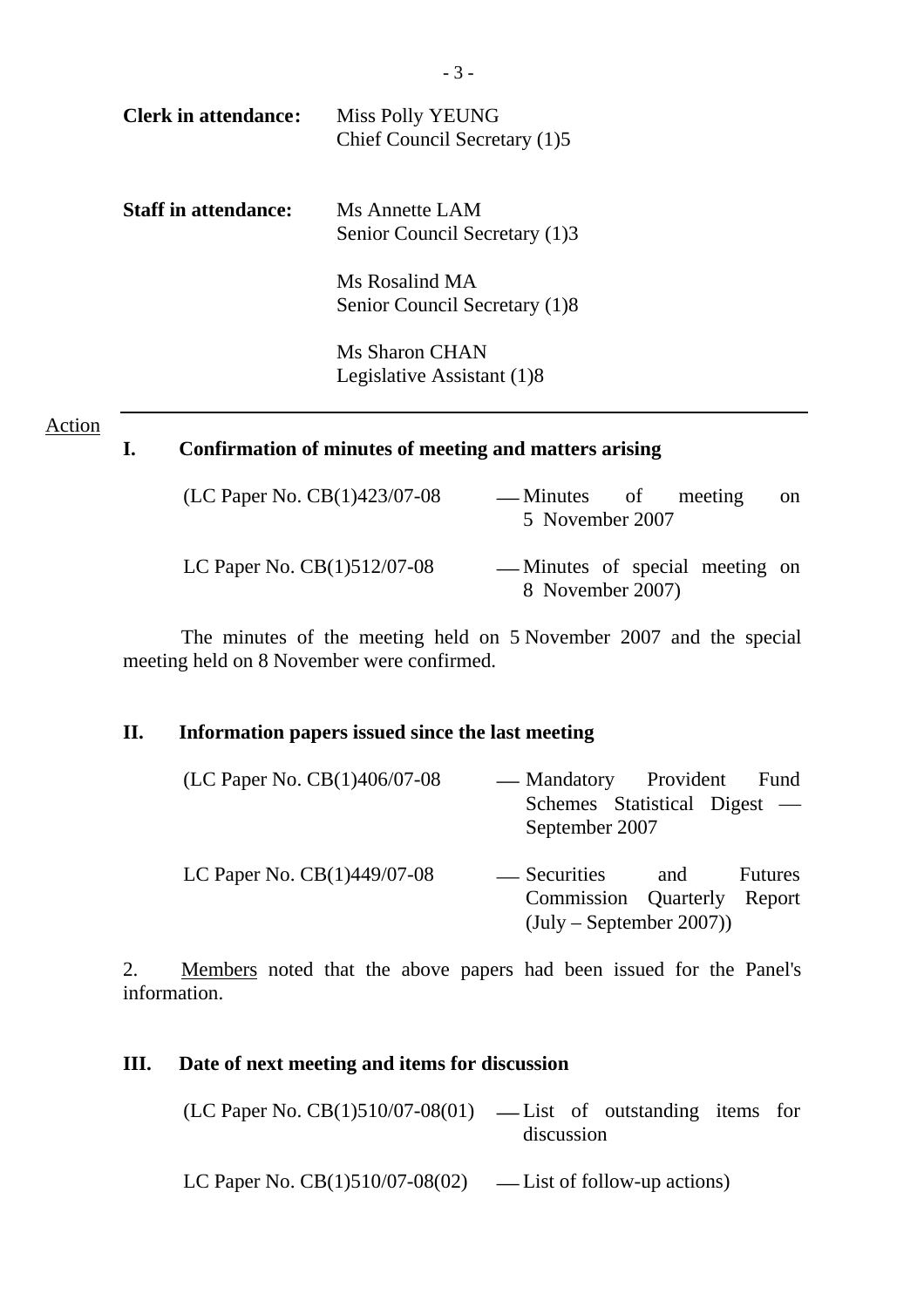| Clerk in attendance:        | Miss Polly YEUNG<br>Chief Council Secretary (1)5 |
|-----------------------------|--------------------------------------------------|
| <b>Staff in attendance:</b> | Ms Annette LAM<br>Senior Council Secretary (1)3  |
|                             | Ms Rosalind MA<br>Senior Council Secretary (1)8  |
|                             | Ms Sharon CHAN<br>Legislative Assistant (1)8     |

#### **Action**

# **I. Confirmation of minutes of meeting and matters arising**

| (LC Paper No. CB(1)423/07-08  | — Minutes of meeting<br>5 November 2007             |  | <sub>on</sub> |
|-------------------------------|-----------------------------------------------------|--|---------------|
| LC Paper No. $CB(1)512/07-08$ | — Minutes of special meeting on<br>8 November 2007) |  |               |

The minutes of the meeting held on 5 November 2007 and the special meeting held on 8 November were confirmed.

# **II. Information papers issued since the last meeting**

| (LC Paper No. CB(1)406/07-08  | — Mandatory Provident                     |     | Fund           |
|-------------------------------|-------------------------------------------|-----|----------------|
|                               | Schemes Statistical Digest —              |     |                |
|                               | September 2007                            |     |                |
| LC Paper No. $CB(1)449/07-08$ | — Securities                              | and | <b>Futures</b> |
|                               | Commission Quarterly Report               |     |                |
|                               | $(\text{July} - \text{September } 2007))$ |     |                |

2. Members noted that the above papers had been issued for the Panel's information.

### **III. Date of next meeting and items for discussion**

| $(LC$ Paper No. $CB(1)510/07-08(01)$ — List of outstanding items for |  |  |  |  |  |
|----------------------------------------------------------------------|--|--|--|--|--|
| discussion                                                           |  |  |  |  |  |

LC Paper No.  $CB(1)510/07-08(02)$  — List of follow-up actions)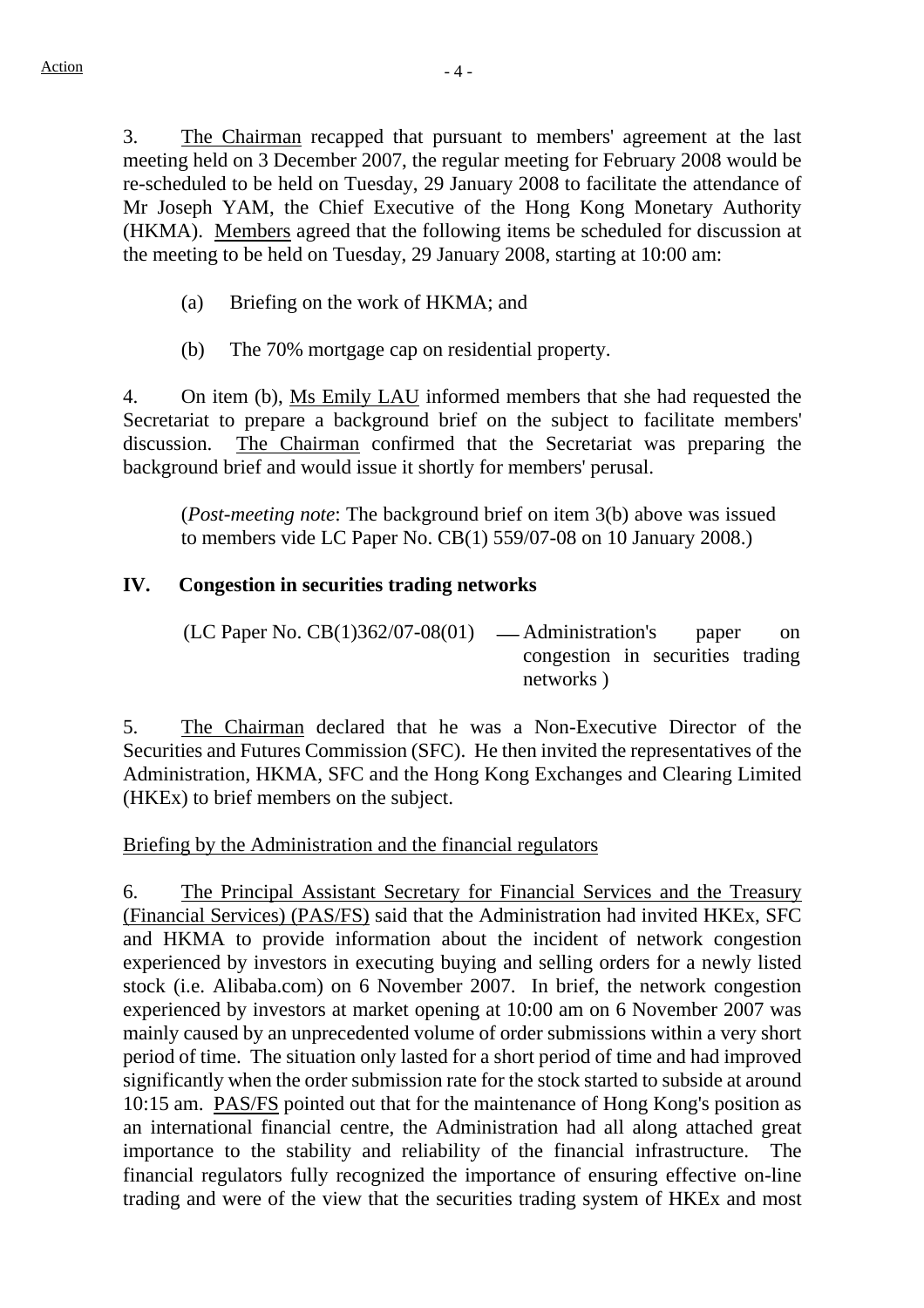3. The Chairman recapped that pursuant to members' agreement at the last meeting held on 3 December 2007, the regular meeting for February 2008 would be re-scheduled to be held on Tuesday, 29 January 2008 to facilitate the attendance of Mr Joseph YAM, the Chief Executive of the Hong Kong Monetary Authority (HKMA). Members agreed that the following items be scheduled for discussion at the meeting to be held on Tuesday, 29 January 2008, starting at 10:00 am:

- (a) Briefing on the work of HKMA; and
- (b) The 70% mortgage cap on residential property.

4. On item (b), Ms Emily LAU informed members that she had requested the Secretariat to prepare a background brief on the subject to facilitate members' discussion. The Chairman confirmed that the Secretariat was preparing the background brief and would issue it shortly for members' perusal.

(*Post-meeting note*: The background brief on item 3(b) above was issued to members vide LC Paper No. CB(1) 559/07-08 on 10 January 2008.)

# **IV. Congestion in securities trading networks**

 $(LC$  Paper No.  $CB(1)362/07-08(01)$  — Administration's paper on congestion in securities trading networks )

5. The Chairman declared that he was a Non-Executive Director of the Securities and Futures Commission (SFC). He then invited the representatives of the Administration, HKMA, SFC and the Hong Kong Exchanges and Clearing Limited (HKEx) to brief members on the subject.

Briefing by the Administration and the financial regulators

6. The Principal Assistant Secretary for Financial Services and the Treasury (Financial Services) (PAS/FS) said that the Administration had invited HKEx, SFC and HKMA to provide information about the incident of network congestion experienced by investors in executing buying and selling orders for a newly listed stock (i.e. Alibaba.com) on 6 November 2007. In brief, the network congestion experienced by investors at market opening at 10:00 am on 6 November 2007 was mainly caused by an unprecedented volume of order submissions within a very short period of time. The situation only lasted for a short period of time and had improved significantly when the order submission rate for the stock started to subside at around 10:15 am. PAS/FS pointed out that for the maintenance of Hong Kong's position as an international financial centre, the Administration had all along attached great importance to the stability and reliability of the financial infrastructure. The financial regulators fully recognized the importance of ensuring effective on-line trading and were of the view that the securities trading system of HKEx and most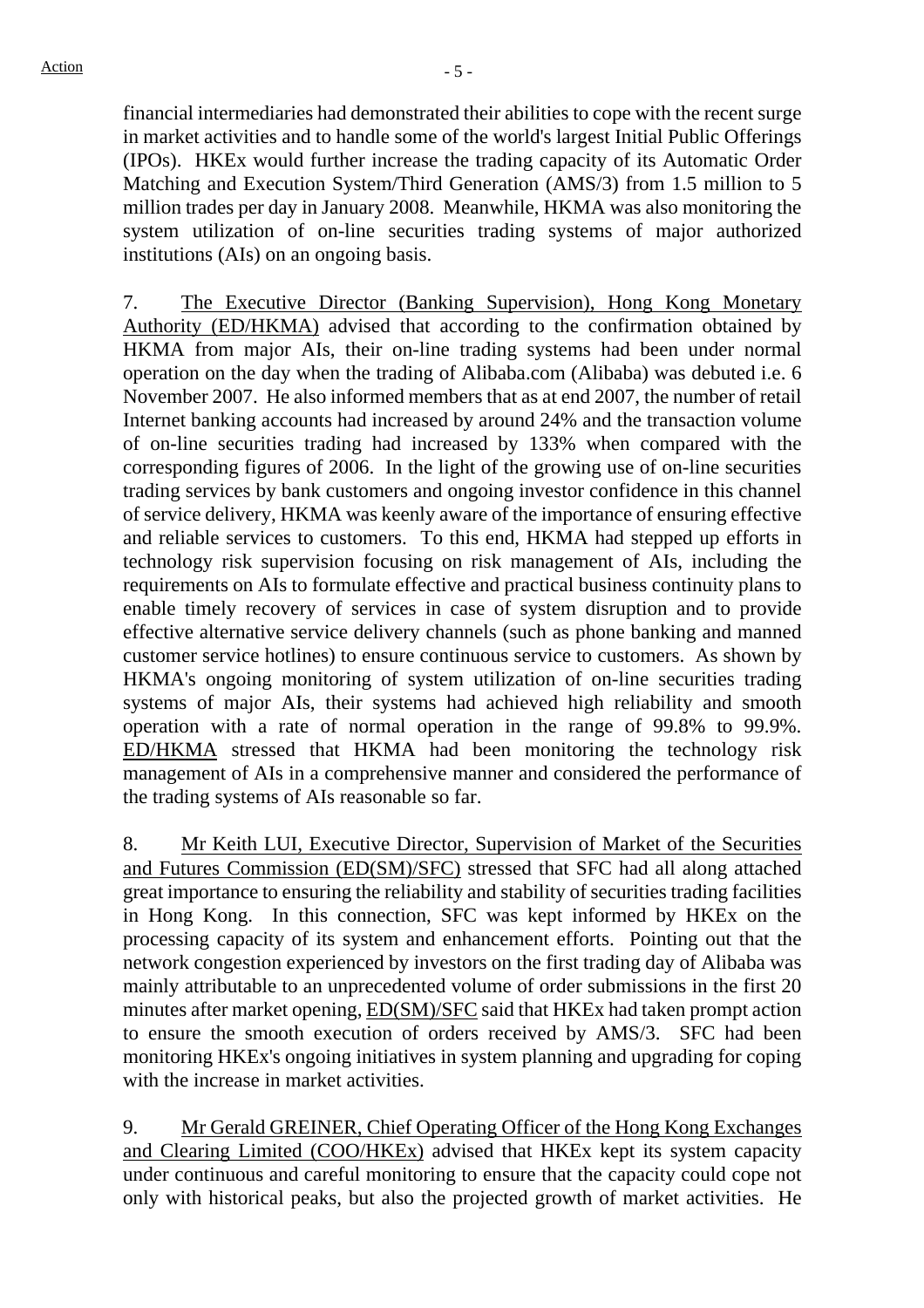financial intermediaries had demonstrated their abilities to cope with the recent surge in market activities and to handle some of the world's largest Initial Public Offerings (IPOs). HKEx would further increase the trading capacity of its Automatic Order Matching and Execution System/Third Generation (AMS/3) from 1.5 million to 5 million trades per day in January 2008. Meanwhile, HKMA was also monitoring the system utilization of on-line securities trading systems of major authorized institutions (AIs) on an ongoing basis.

7. The Executive Director (Banking Supervision), Hong Kong Monetary Authority (ED/HKMA) advised that according to the confirmation obtained by HKMA from major AIs, their on-line trading systems had been under normal operation on the day when the trading of Alibaba.com (Alibaba) was debuted i.e. 6 November 2007. He also informed members that as at end 2007, the number of retail Internet banking accounts had increased by around 24% and the transaction volume of on-line securities trading had increased by 133% when compared with the corresponding figures of 2006. In the light of the growing use of on-line securities trading services by bank customers and ongoing investor confidence in this channel of service delivery, HKMA was keenly aware of the importance of ensuring effective and reliable services to customers. To this end, HKMA had stepped up efforts in technology risk supervision focusing on risk management of AIs, including the requirements on AIs to formulate effective and practical business continuity plans to enable timely recovery of services in case of system disruption and to provide effective alternative service delivery channels (such as phone banking and manned customer service hotlines) to ensure continuous service to customers. As shown by HKMA's ongoing monitoring of system utilization of on-line securities trading systems of major AIs, their systems had achieved high reliability and smooth operation with a rate of normal operation in the range of 99.8% to 99.9%. ED/HKMA stressed that HKMA had been monitoring the technology risk management of AIs in a comprehensive manner and considered the performance of the trading systems of AIs reasonable so far.

8. Mr Keith LUI, Executive Director, Supervision of Market of the Securities and Futures Commission (ED(SM)/SFC) stressed that SFC had all along attached great importance to ensuring the reliability and stability of securities trading facilities in Hong Kong. In this connection, SFC was kept informed by HKEx on the processing capacity of its system and enhancement efforts. Pointing out that the network congestion experienced by investors on the first trading day of Alibaba was mainly attributable to an unprecedented volume of order submissions in the first 20 minutes after market opening, ED(SM)/SFC said that HKEx had taken prompt action to ensure the smooth execution of orders received by AMS/3. SFC had been monitoring HKEx's ongoing initiatives in system planning and upgrading for coping with the increase in market activities.

9. Mr Gerald GREINER, Chief Operating Officer of the Hong Kong Exchanges and Clearing Limited (COO/HKEx) advised that HKEx kept its system capacity under continuous and careful monitoring to ensure that the capacity could cope not only with historical peaks, but also the projected growth of market activities. He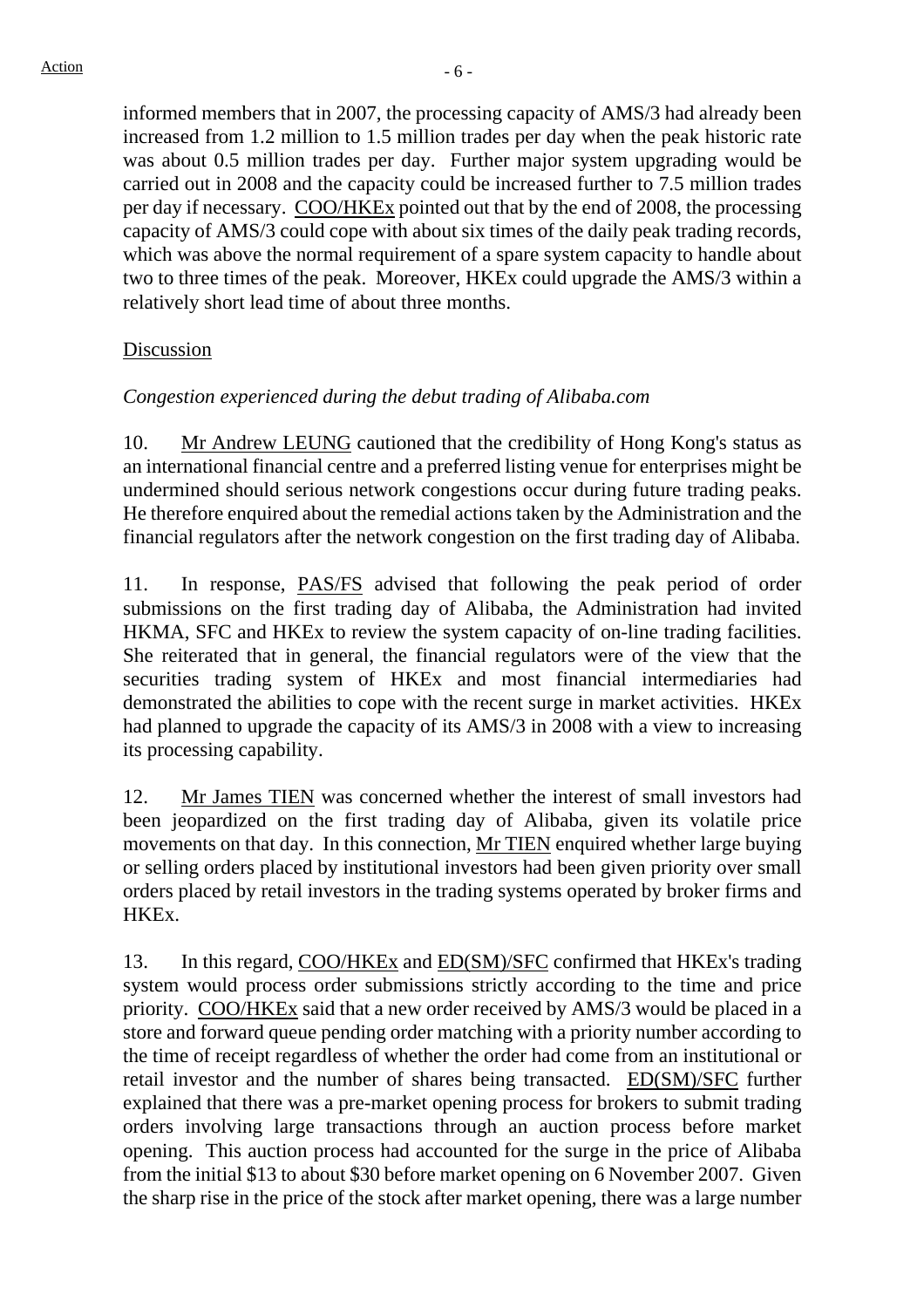informed members that in 2007, the processing capacity of AMS/3 had already been increased from 1.2 million to 1.5 million trades per day when the peak historic rate was about 0.5 million trades per day. Further major system upgrading would be carried out in 2008 and the capacity could be increased further to 7.5 million trades per day if necessary. COO/HKEx pointed out that by the end of 2008, the processing capacity of AMS/3 could cope with about six times of the daily peak trading records, which was above the normal requirement of a spare system capacity to handle about two to three times of the peak. Moreover, HKEx could upgrade the AMS/3 within a relatively short lead time of about three months.

## Discussion

# *Congestion experienced during the debut trading of Alibaba.com*

10. Mr Andrew LEUNG cautioned that the credibility of Hong Kong's status as an international financial centre and a preferred listing venue for enterprises might be undermined should serious network congestions occur during future trading peaks. He therefore enquired about the remedial actions taken by the Administration and the financial regulators after the network congestion on the first trading day of Alibaba.

11. In response, PAS/FS advised that following the peak period of order submissions on the first trading day of Alibaba, the Administration had invited HKMA, SFC and HKEx to review the system capacity of on-line trading facilities. She reiterated that in general, the financial regulators were of the view that the securities trading system of HKEx and most financial intermediaries had demonstrated the abilities to cope with the recent surge in market activities. HKEx had planned to upgrade the capacity of its AMS/3 in 2008 with a view to increasing its processing capability.

12. Mr James TIEN was concerned whether the interest of small investors had been jeopardized on the first trading day of Alibaba, given its volatile price movements on that day. In this connection, Mr TIEN enquired whether large buying or selling orders placed by institutional investors had been given priority over small orders placed by retail investors in the trading systems operated by broker firms and HKEx.

13. In this regard, COO/HKEx and ED(SM)/SFC confirmed that HKEx's trading system would process order submissions strictly according to the time and price priority. COO/HKEx said that a new order received by AMS/3 would be placed in a store and forward queue pending order matching with a priority number according to the time of receipt regardless of whether the order had come from an institutional or retail investor and the number of shares being transacted. ED(SM)/SFC further explained that there was a pre-market opening process for brokers to submit trading orders involving large transactions through an auction process before market opening. This auction process had accounted for the surge in the price of Alibaba from the initial \$13 to about \$30 before market opening on 6 November 2007. Given the sharp rise in the price of the stock after market opening, there was a large number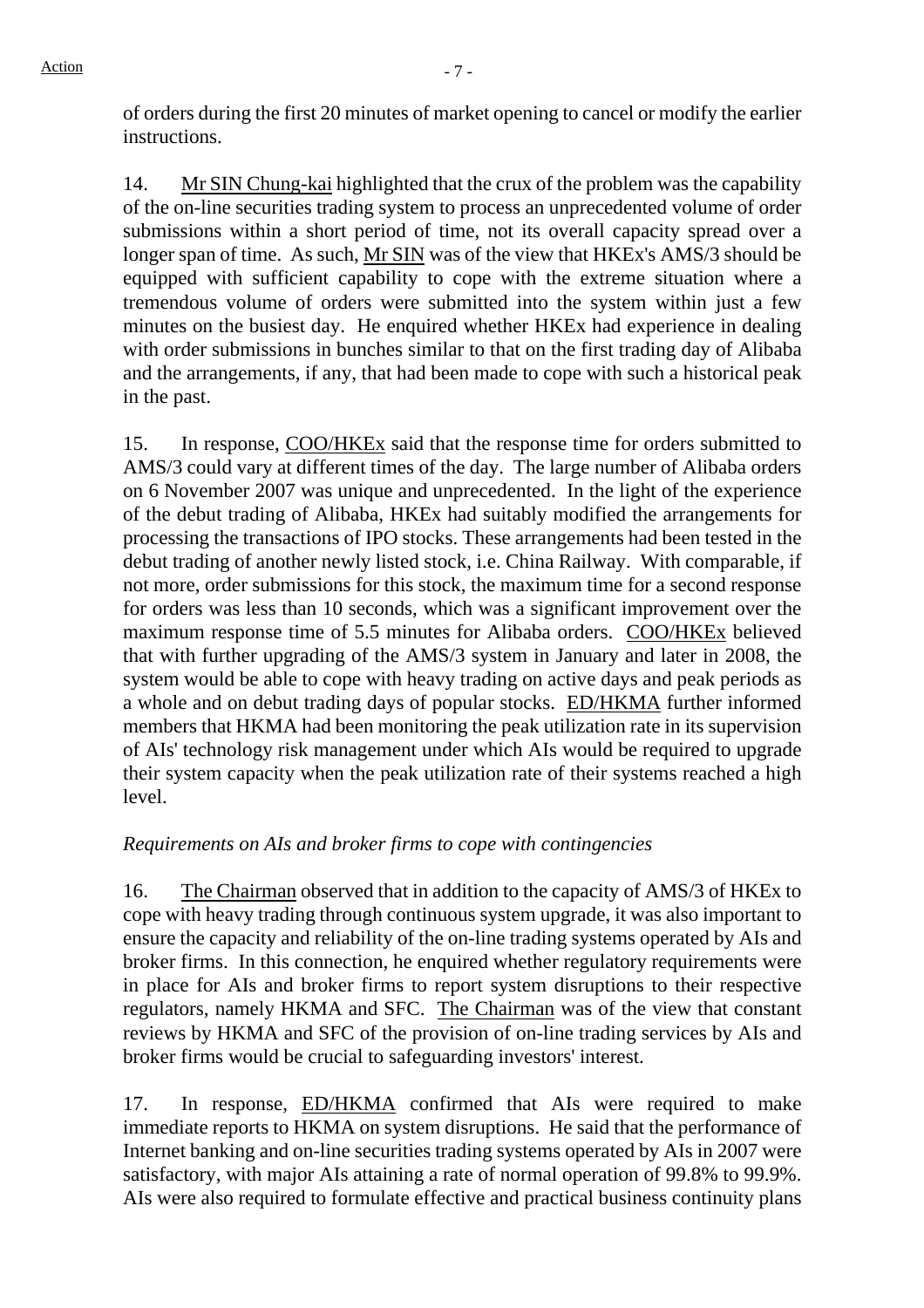of orders during the first 20 minutes of market opening to cancel or modify the earlier instructions.

14. Mr SIN Chung-kai highlighted that the crux of the problem was the capability of the on-line securities trading system to process an unprecedented volume of order submissions within a short period of time, not its overall capacity spread over a longer span of time. As such, Mr SIN was of the view that HKEx's AMS/3 should be equipped with sufficient capability to cope with the extreme situation where a tremendous volume of orders were submitted into the system within just a few minutes on the busiest day. He enquired whether HKEx had experience in dealing with order submissions in bunches similar to that on the first trading day of Alibaba and the arrangements, if any, that had been made to cope with such a historical peak in the past.

15. In response, COO/HKEx said that the response time for orders submitted to AMS/3 could vary at different times of the day. The large number of Alibaba orders on 6 November 2007 was unique and unprecedented. In the light of the experience of the debut trading of Alibaba, HKEx had suitably modified the arrangements for processing the transactions of IPO stocks. These arrangements had been tested in the debut trading of another newly listed stock, i.e. China Railway. With comparable, if not more, order submissions for this stock, the maximum time for a second response for orders was less than 10 seconds, which was a significant improvement over the maximum response time of 5.5 minutes for Alibaba orders. COO/HKEx believed that with further upgrading of the AMS/3 system in January and later in 2008, the system would be able to cope with heavy trading on active days and peak periods as a whole and on debut trading days of popular stocks. ED/HKMA further informed members that HKMA had been monitoring the peak utilization rate in its supervision of AIs' technology risk management under which AIs would be required to upgrade their system capacity when the peak utilization rate of their systems reached a high level.

# *Requirements on AIs and broker firms to cope with contingencies*

16. The Chairman observed that in addition to the capacity of AMS/3 of HKEx to cope with heavy trading through continuous system upgrade, it was also important to ensure the capacity and reliability of the on-line trading systems operated by AIs and broker firms. In this connection, he enquired whether regulatory requirements were in place for AIs and broker firms to report system disruptions to their respective regulators, namely HKMA and SFC. The Chairman was of the view that constant reviews by HKMA and SFC of the provision of on-line trading services by AIs and broker firms would be crucial to safeguarding investors' interest.

17. In response, ED/HKMA confirmed that AIs were required to make immediate reports to HKMA on system disruptions. He said that the performance of Internet banking and on-line securities trading systems operated by AIs in 2007 were satisfactory, with major AIs attaining a rate of normal operation of 99.8% to 99.9%. AIs were also required to formulate effective and practical business continuity plans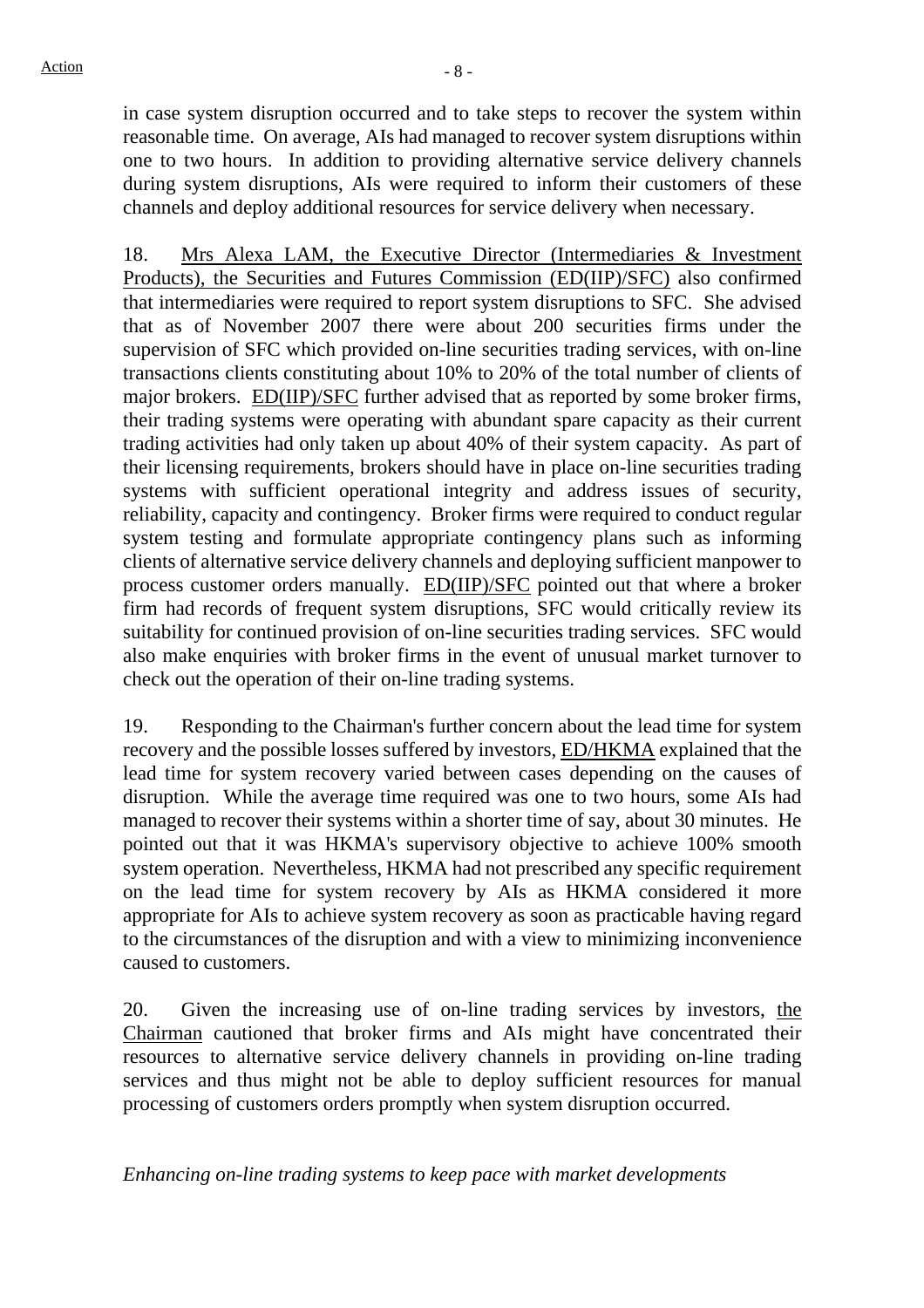in case system disruption occurred and to take steps to recover the system within reasonable time. On average, AIs had managed to recover system disruptions within one to two hours. In addition to providing alternative service delivery channels during system disruptions, AIs were required to inform their customers of these channels and deploy additional resources for service delivery when necessary.

18. Mrs Alexa LAM, the Executive Director (Intermediaries & Investment Products), the Securities and Futures Commission (ED(IIP)/SFC) also confirmed that intermediaries were required to report system disruptions to SFC. She advised that as of November 2007 there were about 200 securities firms under the supervision of SFC which provided on-line securities trading services, with on-line transactions clients constituting about 10% to 20% of the total number of clients of major brokers. ED(IIP)/SFC further advised that as reported by some broker firms, their trading systems were operating with abundant spare capacity as their current trading activities had only taken up about 40% of their system capacity. As part of their licensing requirements, brokers should have in place on-line securities trading systems with sufficient operational integrity and address issues of security, reliability, capacity and contingency. Broker firms were required to conduct regular system testing and formulate appropriate contingency plans such as informing clients of alternative service delivery channels and deploying sufficient manpower to process customer orders manually. ED(IIP)/SFC pointed out that where a broker firm had records of frequent system disruptions, SFC would critically review its suitability for continued provision of on-line securities trading services. SFC would also make enquiries with broker firms in the event of unusual market turnover to check out the operation of their on-line trading systems.

19. Responding to the Chairman's further concern about the lead time for system recovery and the possible losses suffered by investors, ED/HKMA explained that the lead time for system recovery varied between cases depending on the causes of disruption. While the average time required was one to two hours, some AIs had managed to recover their systems within a shorter time of say, about 30 minutes. He pointed out that it was HKMA's supervisory objective to achieve 100% smooth system operation. Nevertheless, HKMA had not prescribed any specific requirement on the lead time for system recovery by AIs as HKMA considered it more appropriate for AIs to achieve system recovery as soon as practicable having regard to the circumstances of the disruption and with a view to minimizing inconvenience caused to customers.

20. Given the increasing use of on-line trading services by investors, the Chairman cautioned that broker firms and AIs might have concentrated their resources to alternative service delivery channels in providing on-line trading services and thus might not be able to deploy sufficient resources for manual processing of customers orders promptly when system disruption occurred.

*Enhancing on-line trading systems to keep pace with market developments*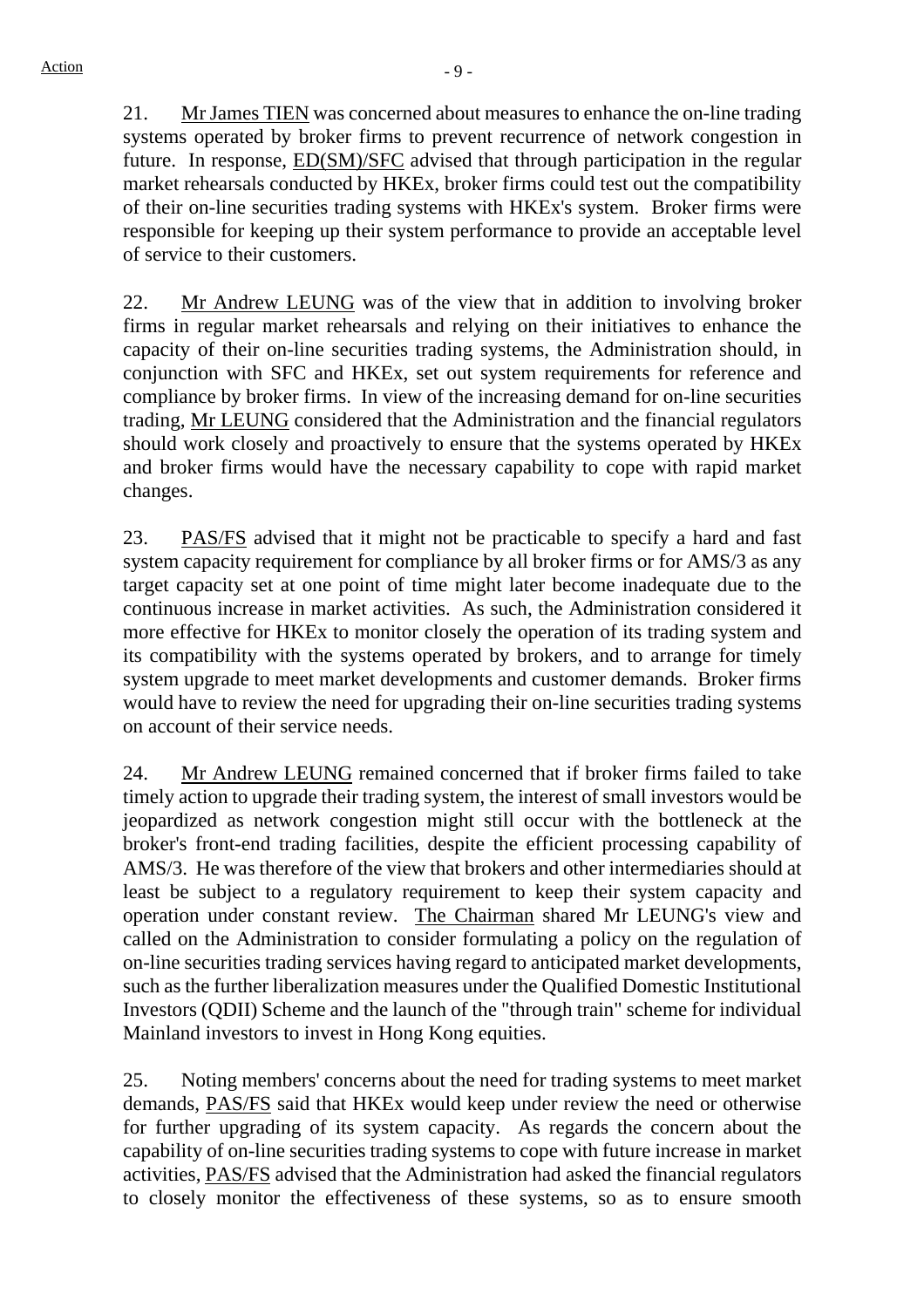21. Mr James TIEN was concerned about measures to enhance the on-line trading systems operated by broker firms to prevent recurrence of network congestion in future. In response, ED(SM)/SFC advised that through participation in the regular market rehearsals conducted by HKEx, broker firms could test out the compatibility of their on-line securities trading systems with HKEx's system. Broker firms were responsible for keeping up their system performance to provide an acceptable level of service to their customers.

22. Mr Andrew LEUNG was of the view that in addition to involving broker firms in regular market rehearsals and relying on their initiatives to enhance the capacity of their on-line securities trading systems, the Administration should, in conjunction with SFC and HKEx, set out system requirements for reference and compliance by broker firms. In view of the increasing demand for on-line securities trading, Mr LEUNG considered that the Administration and the financial regulators should work closely and proactively to ensure that the systems operated by HKEx and broker firms would have the necessary capability to cope with rapid market changes.

23. PAS/FS advised that it might not be practicable to specify a hard and fast system capacity requirement for compliance by all broker firms or for AMS/3 as any target capacity set at one point of time might later become inadequate due to the continuous increase in market activities. As such, the Administration considered it more effective for HKEx to monitor closely the operation of its trading system and its compatibility with the systems operated by brokers, and to arrange for timely system upgrade to meet market developments and customer demands. Broker firms would have to review the need for upgrading their on-line securities trading systems on account of their service needs.

24. Mr Andrew LEUNG remained concerned that if broker firms failed to take timely action to upgrade their trading system, the interest of small investors would be jeopardized as network congestion might still occur with the bottleneck at the broker's front-end trading facilities, despite the efficient processing capability of AMS/3. He was therefore of the view that brokers and other intermediaries should at least be subject to a regulatory requirement to keep their system capacity and operation under constant review. The Chairman shared Mr LEUNG's view and called on the Administration to consider formulating a policy on the regulation of on-line securities trading services having regard to anticipated market developments, such as the further liberalization measures under the Qualified Domestic Institutional Investors (QDII) Scheme and the launch of the "through train" scheme for individual Mainland investors to invest in Hong Kong equities.

25. Noting members' concerns about the need for trading systems to meet market demands, PAS/FS said that HKEx would keep under review the need or otherwise for further upgrading of its system capacity. As regards the concern about the capability of on-line securities trading systems to cope with future increase in market activities, PAS/FS advised that the Administration had asked the financial regulators to closely monitor the effectiveness of these systems, so as to ensure smooth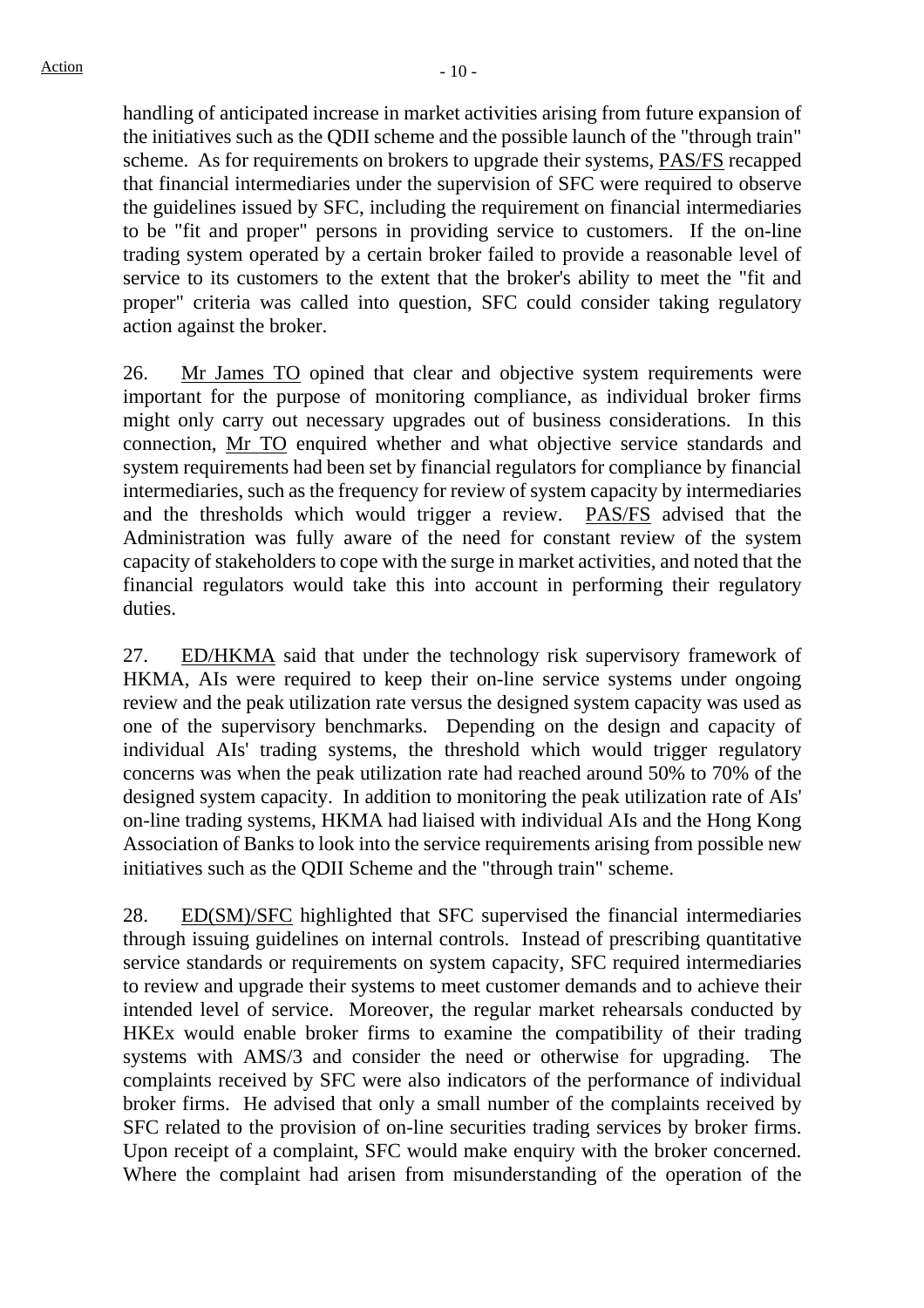handling of anticipated increase in market activities arising from future expansion of the initiatives such as the QDII scheme and the possible launch of the "through train" scheme. As for requirements on brokers to upgrade their systems, PAS/FS recapped that financial intermediaries under the supervision of SFC were required to observe the guidelines issued by SFC, including the requirement on financial intermediaries to be "fit and proper" persons in providing service to customers. If the on-line trading system operated by a certain broker failed to provide a reasonable level of service to its customers to the extent that the broker's ability to meet the "fit and proper" criteria was called into question, SFC could consider taking regulatory action against the broker.

26. Mr James TO opined that clear and objective system requirements were important for the purpose of monitoring compliance, as individual broker firms might only carry out necessary upgrades out of business considerations. In this connection, Mr TO enquired whether and what objective service standards and system requirements had been set by financial regulators for compliance by financial intermediaries, such as the frequency for review of system capacity by intermediaries and the thresholds which would trigger a review. PAS/FS advised that the Administration was fully aware of the need for constant review of the system capacity of stakeholders to cope with the surge in market activities, and noted that the financial regulators would take this into account in performing their regulatory duties.

27. ED/HKMA said that under the technology risk supervisory framework of HKMA, AIs were required to keep their on-line service systems under ongoing review and the peak utilization rate versus the designed system capacity was used as one of the supervisory benchmarks. Depending on the design and capacity of individual AIs' trading systems, the threshold which would trigger regulatory concerns was when the peak utilization rate had reached around 50% to 70% of the designed system capacity. In addition to monitoring the peak utilization rate of AIs' on-line trading systems, HKMA had liaised with individual AIs and the Hong Kong Association of Banks to look into the service requirements arising from possible new initiatives such as the QDII Scheme and the "through train" scheme.

28. ED(SM)/SFC highlighted that SFC supervised the financial intermediaries through issuing guidelines on internal controls. Instead of prescribing quantitative service standards or requirements on system capacity, SFC required intermediaries to review and upgrade their systems to meet customer demands and to achieve their intended level of service. Moreover, the regular market rehearsals conducted by HKEx would enable broker firms to examine the compatibility of their trading systems with AMS/3 and consider the need or otherwise for upgrading. The complaints received by SFC were also indicators of the performance of individual broker firms. He advised that only a small number of the complaints received by SFC related to the provision of on-line securities trading services by broker firms. Upon receipt of a complaint, SFC would make enquiry with the broker concerned. Where the complaint had arisen from misunderstanding of the operation of the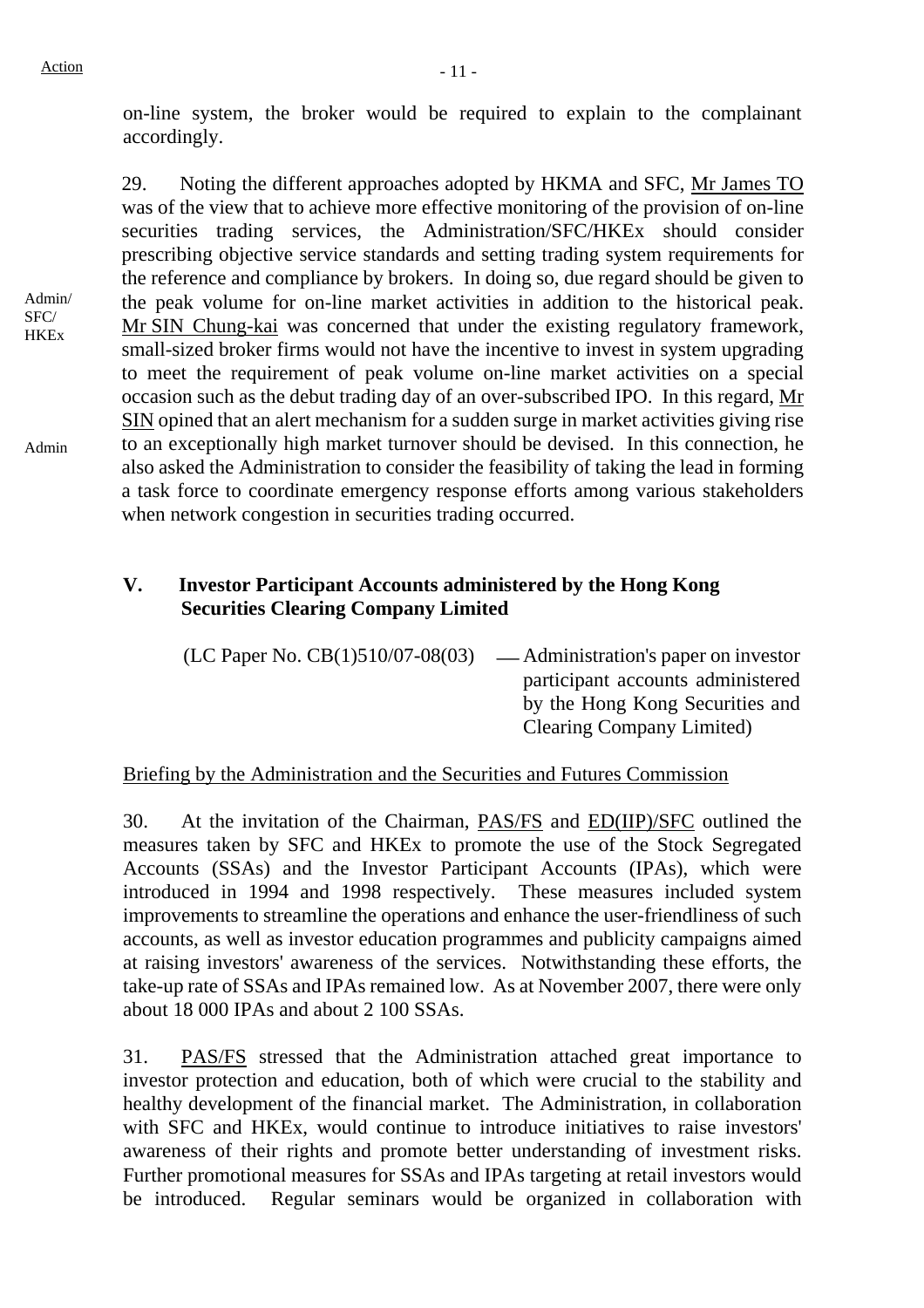on-line system, the broker would be required to explain to the complainant accordingly.

Admin/ **HKEx** 29. Noting the different approaches adopted by HKMA and SFC, Mr James TO was of the view that to achieve more effective monitoring of the provision of on-line securities trading services, the Administration/SFC/HKEx should consider prescribing objective service standards and setting trading system requirements for the reference and compliance by brokers. In doing so, due regard should be given to the peak volume for on-line market activities in addition to the historical peak. Mr SIN Chung-kai was concerned that under the existing regulatory framework, small-sized broker firms would not have the incentive to invest in system upgrading to meet the requirement of peak volume on-line market activities on a special occasion such as the debut trading day of an over-subscribed IPO. In this regard, Mr SIN opined that an alert mechanism for a sudden surge in market activities giving rise to an exceptionally high market turnover should be devised. In this connection, he also asked the Administration to consider the feasibility of taking the lead in forming a task force to coordinate emergency response efforts among various stakeholders when network congestion in securities trading occurred.

# **V. Investor Participant Accounts administered by the Hong Kong Securities Clearing Company Limited**

 $(LC$  Paper No.  $CB(1)510/07-08(03)$  — Administration's paper on investor participant accounts administered by the Hong Kong Securities and Clearing Company Limited)

# Briefing by the Administration and the Securities and Futures Commission

30. At the invitation of the Chairman, PAS/FS and ED(IIP)/SFC outlined the measures taken by SFC and HKEx to promote the use of the Stock Segregated Accounts (SSAs) and the Investor Participant Accounts (IPAs), which were introduced in 1994 and 1998 respectively. These measures included system improvements to streamline the operations and enhance the user-friendliness of such accounts, as well as investor education programmes and publicity campaigns aimed at raising investors' awareness of the services. Notwithstanding these efforts, the take-up rate of SSAs and IPAs remained low. As at November 2007, there were only about 18 000 IPAs and about 2 100 SSAs.

31. PAS/FS stressed that the Administration attached great importance to investor protection and education, both of which were crucial to the stability and healthy development of the financial market. The Administration, in collaboration with SFC and HKEx, would continue to introduce initiatives to raise investors' awareness of their rights and promote better understanding of investment risks. Further promotional measures for SSAs and IPAs targeting at retail investors would be introduced. Regular seminars would be organized in collaboration with

Admin

SFC/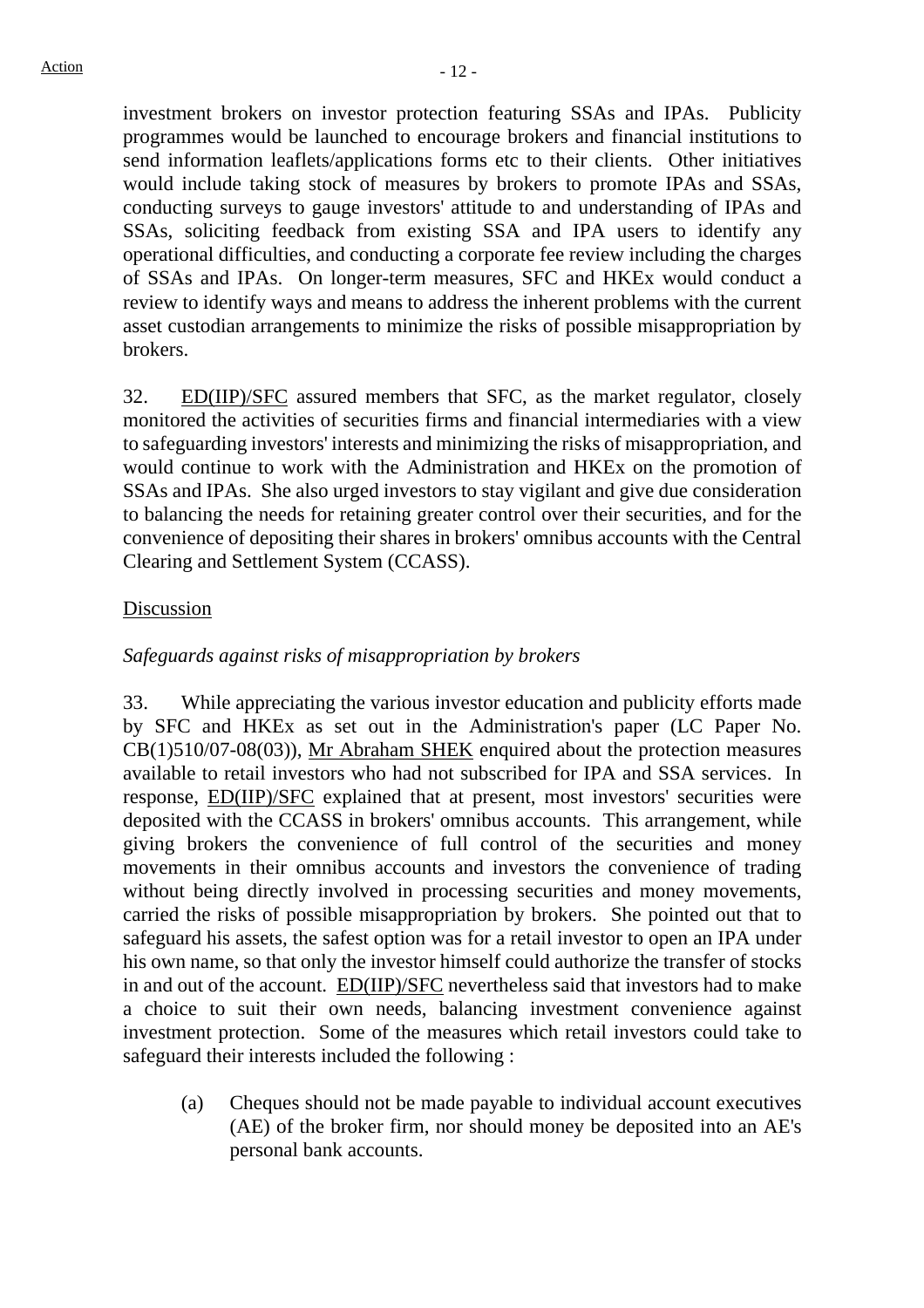investment brokers on investor protection featuring SSAs and IPAs. Publicity programmes would be launched to encourage brokers and financial institutions to send information leaflets/applications forms etc to their clients. Other initiatives would include taking stock of measures by brokers to promote IPAs and SSAs, conducting surveys to gauge investors' attitude to and understanding of IPAs and SSAs, soliciting feedback from existing SSA and IPA users to identify any operational difficulties, and conducting a corporate fee review including the charges of SSAs and IPAs. On longer-term measures, SFC and HKEx would conduct a review to identify ways and means to address the inherent problems with the current asset custodian arrangements to minimize the risks of possible misappropriation by brokers.

32. ED(IIP)/SFC assured members that SFC, as the market regulator, closely monitored the activities of securities firms and financial intermediaries with a view to safeguarding investors' interests and minimizing the risks of misappropriation, and would continue to work with the Administration and HKEx on the promotion of SSAs and IPAs. She also urged investors to stay vigilant and give due consideration to balancing the needs for retaining greater control over their securities, and for the convenience of depositing their shares in brokers' omnibus accounts with the Central Clearing and Settlement System (CCASS).

## Discussion

## *Safeguards against risks of misappropriation by brokers*

33. While appreciating the various investor education and publicity efforts made by SFC and HKEx as set out in the Administration's paper (LC Paper No. CB(1)510/07-08(03)), Mr Abraham SHEK enquired about the protection measures available to retail investors who had not subscribed for IPA and SSA services. In response, **ED(IIP)/SFC** explained that at present, most investors' securities were deposited with the CCASS in brokers' omnibus accounts. This arrangement, while giving brokers the convenience of full control of the securities and money movements in their omnibus accounts and investors the convenience of trading without being directly involved in processing securities and money movements, carried the risks of possible misappropriation by brokers. She pointed out that to safeguard his assets, the safest option was for a retail investor to open an IPA under his own name, so that only the investor himself could authorize the transfer of stocks in and out of the account. ED(IIP)/SFC nevertheless said that investors had to make a choice to suit their own needs, balancing investment convenience against investment protection. Some of the measures which retail investors could take to safeguard their interests included the following :

(a) Cheques should not be made payable to individual account executives (AE) of the broker firm, nor should money be deposited into an AE's personal bank accounts.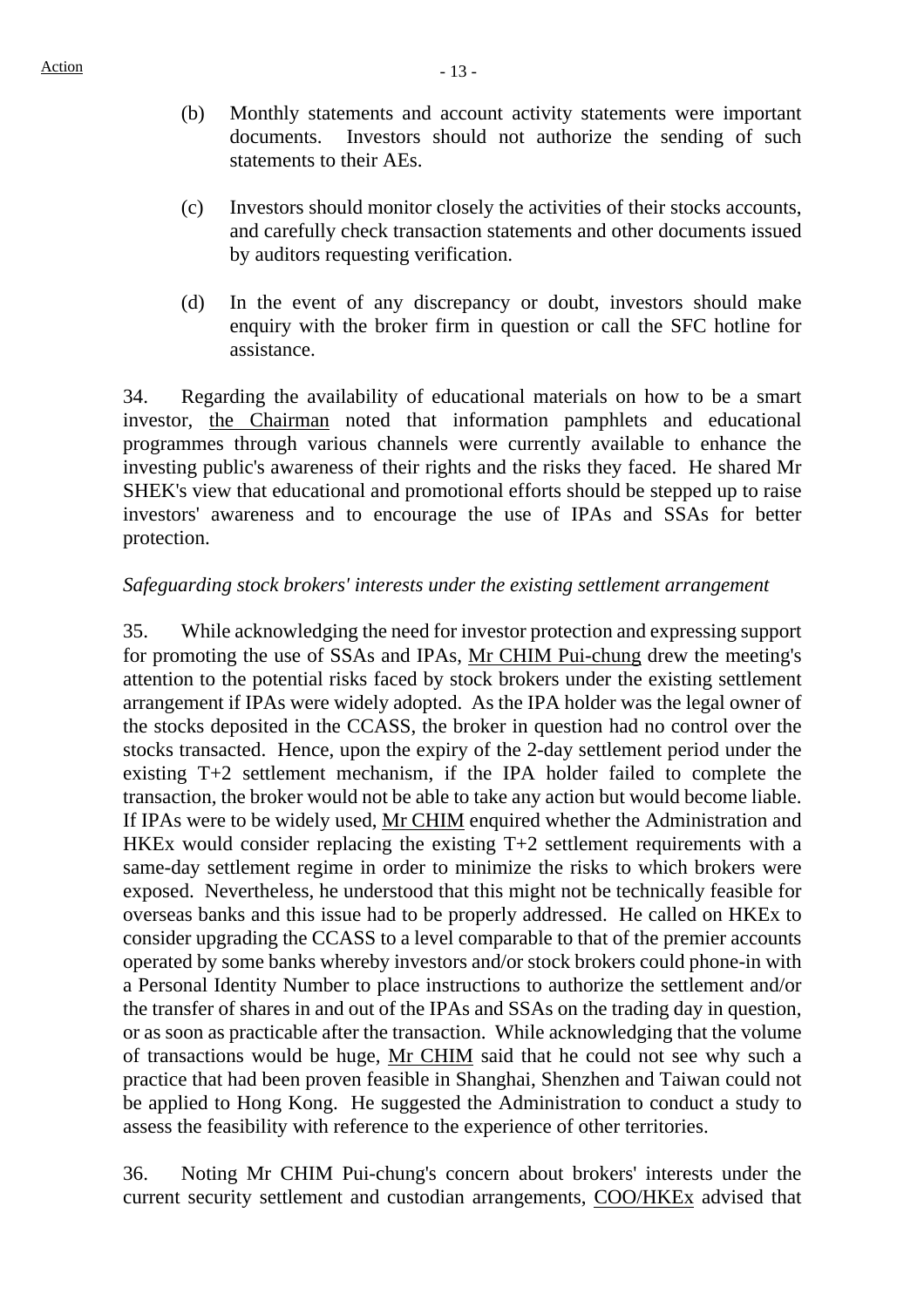- (b) Monthly statements and account activity statements were important documents. Investors should not authorize the sending of such statements to their AEs.
- (c) Investors should monitor closely the activities of their stocks accounts, and carefully check transaction statements and other documents issued by auditors requesting verification.
- (d) In the event of any discrepancy or doubt, investors should make enquiry with the broker firm in question or call the SFC hotline for assistance.

34. Regarding the availability of educational materials on how to be a smart investor, the Chairman noted that information pamphlets and educational programmes through various channels were currently available to enhance the investing public's awareness of their rights and the risks they faced. He shared Mr SHEK's view that educational and promotional efforts should be stepped up to raise investors' awareness and to encourage the use of IPAs and SSAs for better protection.

## *Safeguarding stock brokers' interests under the existing settlement arrangement*

35. While acknowledging the need for investor protection and expressing support for promoting the use of SSAs and IPAs, Mr CHIM Pui-chung drew the meeting's attention to the potential risks faced by stock brokers under the existing settlement arrangement if IPAs were widely adopted. As the IPA holder was the legal owner of the stocks deposited in the CCASS, the broker in question had no control over the stocks transacted. Hence, upon the expiry of the 2-day settlement period under the existing T+2 settlement mechanism, if the IPA holder failed to complete the transaction, the broker would not be able to take any action but would become liable. If IPAs were to be widely used, Mr CHIM enquired whether the Administration and HKEx would consider replacing the existing T+2 settlement requirements with a same-day settlement regime in order to minimize the risks to which brokers were exposed. Nevertheless, he understood that this might not be technically feasible for overseas banks and this issue had to be properly addressed. He called on HKEx to consider upgrading the CCASS to a level comparable to that of the premier accounts operated by some banks whereby investors and/or stock brokers could phone-in with a Personal Identity Number to place instructions to authorize the settlement and/or the transfer of shares in and out of the IPAs and SSAs on the trading day in question, or as soon as practicable after the transaction. While acknowledging that the volume of transactions would be huge, Mr CHIM said that he could not see why such a practice that had been proven feasible in Shanghai, Shenzhen and Taiwan could not be applied to Hong Kong. He suggested the Administration to conduct a study to assess the feasibility with reference to the experience of other territories.

36. Noting Mr CHIM Pui-chung's concern about brokers' interests under the current security settlement and custodian arrangements, COO/HKEx advised that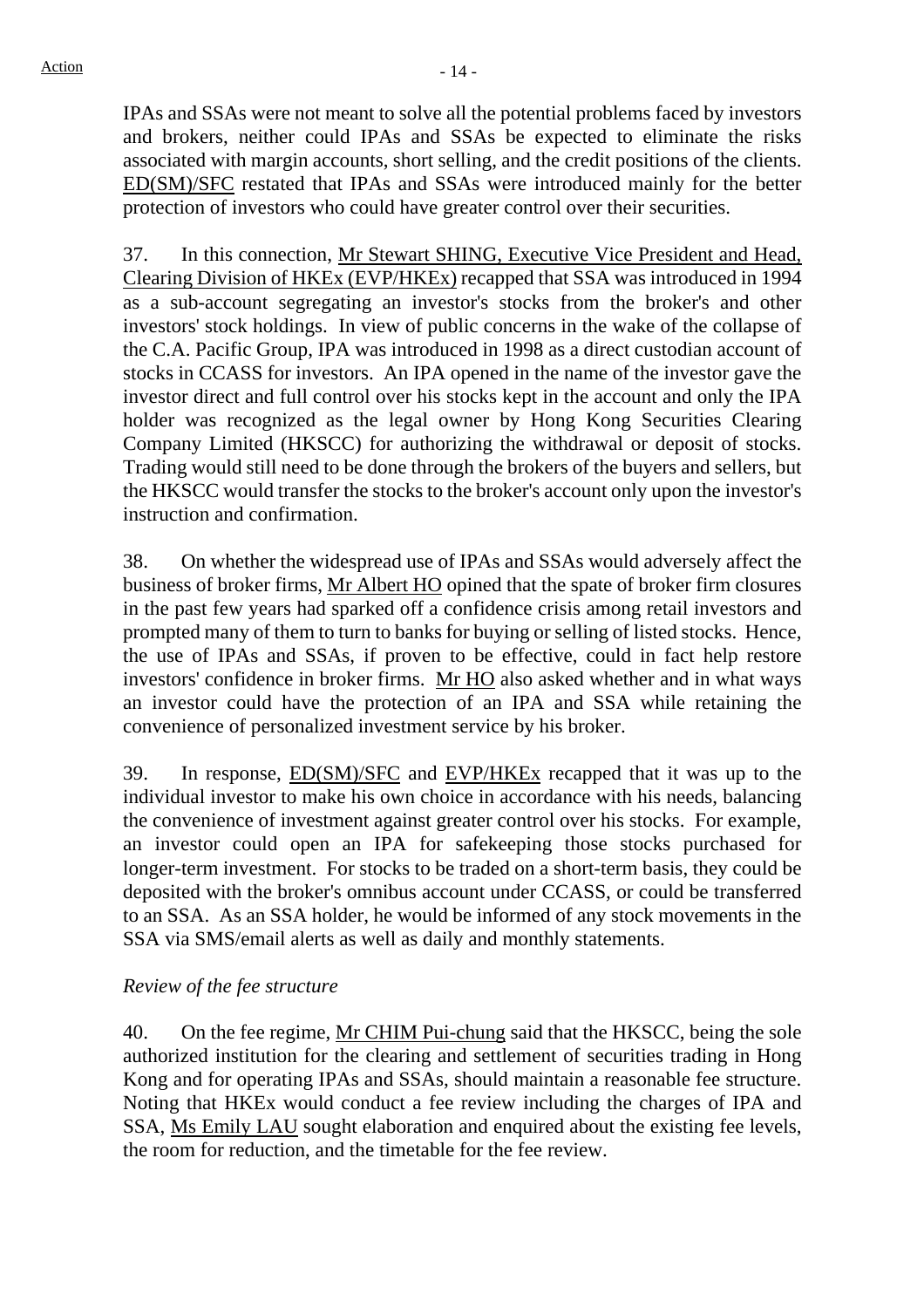IPAs and SSAs were not meant to solve all the potential problems faced by investors and brokers, neither could IPAs and SSAs be expected to eliminate the risks associated with margin accounts, short selling, and the credit positions of the clients. ED(SM)/SFC restated that IPAs and SSAs were introduced mainly for the better protection of investors who could have greater control over their securities.

37. In this connection, Mr Stewart SHING, Executive Vice President and Head, Clearing Division of HKEx (EVP/HKEx) recapped that SSA was introduced in 1994 as a sub-account segregating an investor's stocks from the broker's and other investors' stock holdings. In view of public concerns in the wake of the collapse of the C.A. Pacific Group, IPA was introduced in 1998 as a direct custodian account of stocks in CCASS for investors. An IPA opened in the name of the investor gave the investor direct and full control over his stocks kept in the account and only the IPA holder was recognized as the legal owner by Hong Kong Securities Clearing Company Limited (HKSCC) for authorizing the withdrawal or deposit of stocks. Trading would still need to be done through the brokers of the buyers and sellers, but the HKSCC would transfer the stocks to the broker's account only upon the investor's instruction and confirmation.

38. On whether the widespread use of IPAs and SSAs would adversely affect the business of broker firms, Mr Albert HO opined that the spate of broker firm closures in the past few years had sparked off a confidence crisis among retail investors and prompted many of them to turn to banks for buying or selling of listed stocks. Hence, the use of IPAs and SSAs, if proven to be effective, could in fact help restore investors' confidence in broker firms. Mr HO also asked whether and in what ways an investor could have the protection of an IPA and SSA while retaining the convenience of personalized investment service by his broker.

39. In response, ED(SM)/SFC and EVP/HKEx recapped that it was up to the individual investor to make his own choice in accordance with his needs, balancing the convenience of investment against greater control over his stocks. For example, an investor could open an IPA for safekeeping those stocks purchased for longer-term investment. For stocks to be traded on a short-term basis, they could be deposited with the broker's omnibus account under CCASS, or could be transferred to an SSA. As an SSA holder, he would be informed of any stock movements in the SSA via SMS/email alerts as well as daily and monthly statements.

# *Review of the fee structure*

40. On the fee regime, Mr CHIM Pui-chung said that the HKSCC, being the sole authorized institution for the clearing and settlement of securities trading in Hong Kong and for operating IPAs and SSAs, should maintain a reasonable fee structure. Noting that HKEx would conduct a fee review including the charges of IPA and SSA, Ms Emily LAU sought elaboration and enquired about the existing fee levels, the room for reduction, and the timetable for the fee review.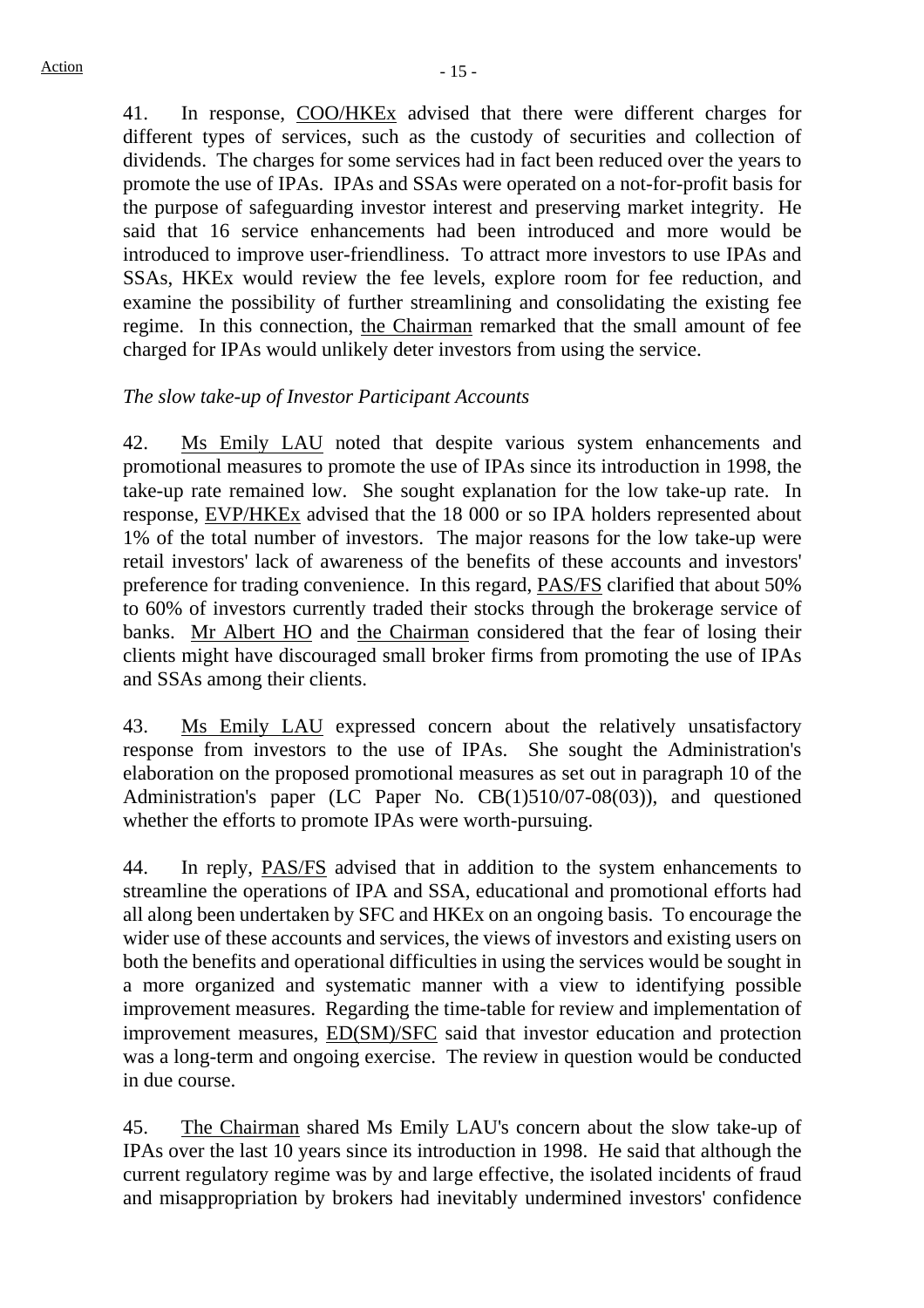41. In response, COO/HKEx advised that there were different charges for different types of services, such as the custody of securities and collection of dividends. The charges for some services had in fact been reduced over the years to promote the use of IPAs. IPAs and SSAs were operated on a not-for-profit basis for the purpose of safeguarding investor interest and preserving market integrity. He said that 16 service enhancements had been introduced and more would be introduced to improve user-friendliness. To attract more investors to use IPAs and SSAs, HKEx would review the fee levels, explore room for fee reduction, and examine the possibility of further streamlining and consolidating the existing fee regime. In this connection, the Chairman remarked that the small amount of fee charged for IPAs would unlikely deter investors from using the service.

# *The slow take-up of Investor Participant Accounts*

42. Ms Emily LAU noted that despite various system enhancements and promotional measures to promote the use of IPAs since its introduction in 1998, the take-up rate remained low. She sought explanation for the low take-up rate. In response, EVP/HKEx advised that the 18 000 or so IPA holders represented about 1% of the total number of investors. The major reasons for the low take-up were retail investors' lack of awareness of the benefits of these accounts and investors' preference for trading convenience. In this regard, PAS/FS clarified that about 50% to 60% of investors currently traded their stocks through the brokerage service of banks. Mr Albert HO and the Chairman considered that the fear of losing their clients might have discouraged small broker firms from promoting the use of IPAs and SSAs among their clients.

43. Ms Emily LAU expressed concern about the relatively unsatisfactory response from investors to the use of IPAs. She sought the Administration's elaboration on the proposed promotional measures as set out in paragraph 10 of the Administration's paper (LC Paper No. CB(1)510/07-08(03)), and questioned whether the efforts to promote IPAs were worth-pursuing.

44. In reply, PAS/FS advised that in addition to the system enhancements to streamline the operations of IPA and SSA, educational and promotional efforts had all along been undertaken by SFC and HKEx on an ongoing basis. To encourage the wider use of these accounts and services, the views of investors and existing users on both the benefits and operational difficulties in using the services would be sought in a more organized and systematic manner with a view to identifying possible improvement measures. Regarding the time-table for review and implementation of improvement measures, ED(SM)/SFC said that investor education and protection was a long-term and ongoing exercise. The review in question would be conducted in due course.

45. The Chairman shared Ms Emily LAU's concern about the slow take-up of IPAs over the last 10 years since its introduction in 1998. He said that although the current regulatory regime was by and large effective, the isolated incidents of fraud and misappropriation by brokers had inevitably undermined investors' confidence